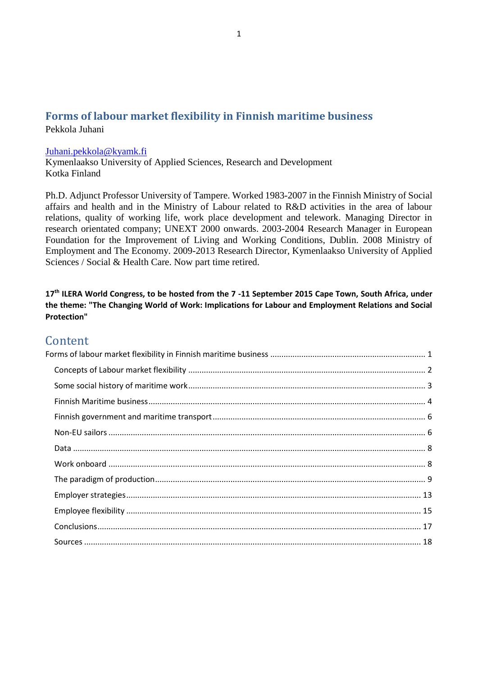#### <span id="page-0-0"></span>**Forms of labour market flexibility in Finnish maritime business** Pekkola Juhani

#### [Juhani.pekkola@kyamk.fi](mailto:Juhani.pekkola@kyamk.fi)

Kymenlaakso University of Applied Sciences, Research and Development Kotka Finland

Ph.D. Adjunct Professor University of Tampere. Worked 1983-2007 in the Finnish Ministry of Social affairs and health and in the Ministry of Labour related to R&D activities in the area of labour relations, quality of working life, work place development and telework. Managing Director in research orientated company; UNEXT 2000 onwards. 2003-2004 Research Manager in European Foundation for the Improvement of Living and Working Conditions, Dublin. 2008 Ministry of Employment and The Economy. 2009-2013 Research Director, Kymenlaakso University of Applied Sciences / Social & Health Care. Now part time retired.

**17th ILERA World Congress, to be hosted from the 7 -11 September 2015 Cape Town, South Africa, under the theme: "The Changing World of Work: Implications for Labour and Employment Relations and Social Protection"**

#### **Content**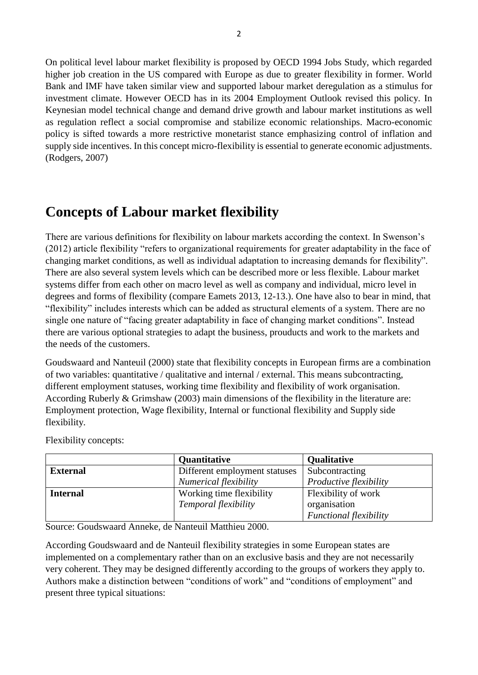On political level labour market flexibility is proposed by OECD 1994 Jobs Study, which regarded higher job creation in the US compared with Europe as due to greater flexibility in former. World Bank and IMF have taken similar view and supported labour market deregulation as a stimulus for investment climate. However OECD has in its 2004 Employment Outlook revised this policy. In Keynesian model technical change and demand drive growth and labour market institutions as well as regulation reflect a social compromise and stabilize economic relationships. Macro-economic policy is sifted towards a more restrictive monetarist stance emphasizing control of inflation and supply side incentives. In this concept micro-flexibility is essential to generate economic adjustments. (Rodgers, 2007)

# <span id="page-1-0"></span>**Concepts of Labour market flexibility**

There are various definitions for flexibility on labour markets according the context. In Swenson's (2012) article flexibility "refers to organizational requirements for greater adaptability in the face of changing market conditions, as well as individual adaptation to increasing demands for flexibility". There are also several system levels which can be described more or less flexible. Labour market systems differ from each other on macro level as well as company and individual, micro level in degrees and forms of flexibility (compare Eamets 2013, 12-13.). One have also to bear in mind, that "flexibility" includes interests which can be added as structural elements of a system. There are no single one nature of "facing greater adaptability in face of changing market conditions". Instead there are various optional strategies to adapt the business, prouducts and work to the markets and the needs of the customers.

Goudswaard and Nanteuil (2000) state that flexibility concepts in European firms are a combination of two variables: quantitative / qualitative and internal / external. This means subcontracting, different employment statuses, working time flexibility and flexibility of work organisation. According Ruberly & Grimshaw (2003) main dimensions of the flexibility in the literature are: Employment protection, Wage flexibility, Internal or functional flexibility and Supply side flexibility.

Flexibility concepts:

|                 | <b>Quantitative</b>           | <b>Qualitative</b>            |
|-----------------|-------------------------------|-------------------------------|
| <b>External</b> | Different employment statuses | Subcontracting                |
|                 | Numerical flexibility         | Productive flexibility        |
| <b>Internal</b> | Working time flexibility      | Flexibility of work           |
|                 | Temporal flexibility          | organisation                  |
|                 |                               | <b>Functional flexibility</b> |

Source: Goudswaard Anneke, de Nanteuil Matthieu 2000.

According Goudswaard and de Nanteuil flexibility strategies in some European states are implemented on a complementary rather than on an exclusive basis and they are not necessarily very coherent. They may be designed differently according to the groups of workers they apply to. Authors make a distinction between "conditions of work" and "conditions of employment" and present three typical situations: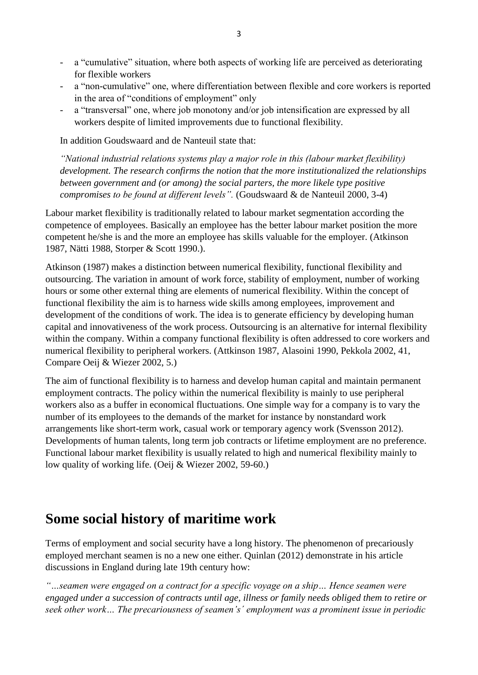- a "cumulative" situation, where both aspects of working life are perceived as deteriorating for flexible workers
- a "non-cumulative" one, where differentiation between flexible and core workers is reported in the area of "conditions of employment" only
- a "transversal" one, where job monotony and/or job intensification are expressed by all workers despite of limited improvements due to functional flexibility.

In addition Goudswaard and de Nanteuil state that:

*"National industrial relations systems play a major role in this (labour market flexibility) development. The research confirms the notion that the more institutionalized the relationships between government and (or among) the social parters, the more likele type positive compromises to be found at different levels".* (Goudswaard & de Nanteuil 2000, 3-4)

Labour market flexibility is traditionally related to labour market segmentation according the competence of employees. Basically an employee has the better labour market position the more competent he/she is and the more an employee has skills valuable for the employer. (Atkinson 1987, Nätti 1988, Storper & Scott 1990.).

Atkinson (1987) makes a distinction between numerical flexibility, functional flexibility and outsourcing. The variation in amount of work force, stability of employment, number of working hours or some other external thing are elements of numerical flexibility. Within the concept of functional flexibility the aim is to harness wide skills among employees, improvement and development of the conditions of work. The idea is to generate efficiency by developing human capital and innovativeness of the work process. Outsourcing is an alternative for internal flexibility within the company. Within a company functional flexibility is often addressed to core workers and numerical flexibility to peripheral workers. (Attkinson 1987, Alasoini 1990, Pekkola 2002, 41, Compare Oeij & Wiezer 2002, 5.)

The aim of functional flexibility is to harness and develop human capital and maintain permanent employment contracts. The policy within the numerical flexibility is mainly to use peripheral workers also as a buffer in economical fluctuations. One simple way for a company is to vary the number of its employees to the demands of the market for instance by nonstandard work arrangements like short-term work, casual work or temporary agency work (Svensson 2012). Developments of human talents, long term job contracts or lifetime employment are no preference. Functional labour market flexibility is usually related to high and numerical flexibility mainly to low quality of working life. (Oeij & Wiezer 2002, 59-60.)

## <span id="page-2-0"></span>**Some social history of maritime work**

Terms of employment and social security have a long history. The phenomenon of precariously employed merchant seamen is no a new one either. Quinlan (2012) demonstrate in his article discussions in England during late 19th century how:

*"…seamen were engaged on a contract for a specific voyage on a ship… Hence seamen were engaged under a succession of contracts until age, illness or family needs obliged them to retire or seek other work… The precariousness of seamen's´ employment was a prominent issue in periodic*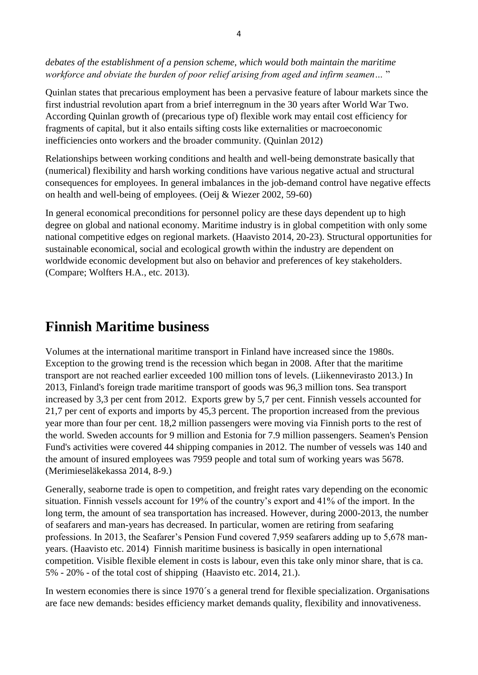*debates of the establishment of a pension scheme, which would both maintain the maritime workforce and obviate the burden of poor relief arising from aged and infirm seamen…* "

Quinlan states that precarious employment has been a pervasive feature of labour markets since the first industrial revolution apart from a brief interregnum in the 30 years after World War Two. According Quinlan growth of (precarious type of) flexible work may entail cost efficiency for fragments of capital, but it also entails sifting costs like externalities or macroeconomic inefficiencies onto workers and the broader community. (Quinlan 2012)

Relationships between working conditions and health and well-being demonstrate basically that (numerical) flexibility and harsh working conditions have various negative actual and structural consequences for employees. In general imbalances in the job-demand control have negative effects on health and well-being of employees. (Oeij & Wiezer 2002, 59-60)

In general economical preconditions for personnel policy are these days dependent up to high degree on global and national economy. Maritime industry is in global competition with only some national competitive edges on regional markets. (Haavisto 2014, 20-23). Structural opportunities for sustainable economical, social and ecological growth within the industry are dependent on worldwide economic development but also on behavior and preferences of key stakeholders. (Compare; Wolfters H.A., etc. 2013).

## <span id="page-3-0"></span>**Finnish Maritime business**

Volumes at the international maritime transport in Finland have increased since the 1980s. Exception to the growing trend is the recession which began in 2008. After that the maritime transport are not reached earlier exceeded 100 million tons of levels. (Liikennevirasto 2013.) In 2013, Finland's foreign trade maritime transport of goods was 96,3 million tons. Sea transport increased by 3,3 per cent from 2012. Exports grew by 5,7 per cent. Finnish vessels accounted for 21,7 per cent of exports and imports by 45,3 percent. The proportion increased from the previous year more than four per cent. 18,2 million passengers were moving via Finnish ports to the rest of the world. Sweden accounts for 9 million and Estonia for 7.9 million passengers. Seamen's Pension Fund's activities were covered 44 shipping companies in 2012. The number of vessels was 140 and the amount of insured employees was 7959 people and total sum of working years was 5678. (Merimieseläkekassa 2014, 8-9.)

Generally, seaborne trade is open to competition, and freight rates vary depending on the economic situation. Finnish vessels account for 19% of the country's export and 41% of the import. In the long term, the amount of sea transportation has increased. However, during 2000-2013, the number of seafarers and man-years has decreased. In particular, women are retiring from seafaring professions. In 2013, the Seafarer's Pension Fund covered 7,959 seafarers adding up to 5,678 manyears. (Haavisto etc. 2014) Finnish maritime business is basically in open international competition. Visible flexible element in costs is labour, even this take only minor share, that is ca. 5% - 20% - of the total cost of shipping (Haavisto etc. 2014, 21.).

In western economies there is since 1970´s a general trend for flexible specialization. Organisations are face new demands: besides efficiency market demands quality, flexibility and innovativeness.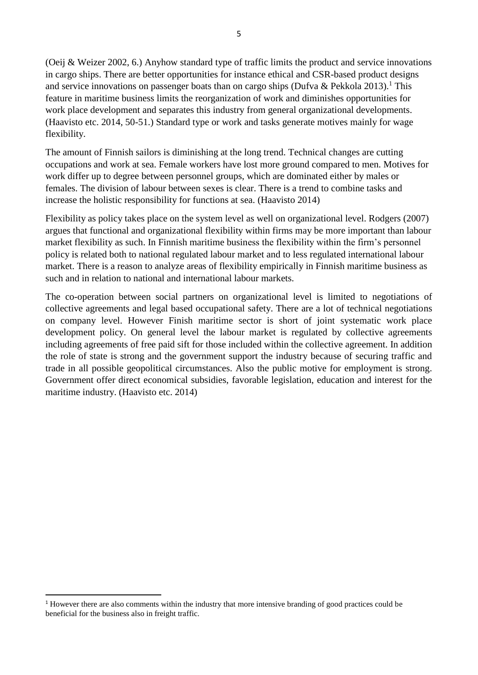(Oeij & Weizer 2002, 6.) Anyhow standard type of traffic limits the product and service innovations in cargo ships. There are better opportunities for instance ethical and CSR-based product designs and service innovations on passenger boats than on cargo ships (Dufva & Pekkola 2013).<sup>1</sup> This feature in maritime business limits the reorganization of work and diminishes opportunities for work place development and separates this industry from general organizational developments. (Haavisto etc. 2014, 50-51.) Standard type or work and tasks generate motives mainly for wage flexibility.

The amount of Finnish sailors is diminishing at the long trend. Technical changes are cutting occupations and work at sea. Female workers have lost more ground compared to men. Motives for work differ up to degree between personnel groups, which are dominated either by males or females. The division of labour between sexes is clear. There is a trend to combine tasks and increase the holistic responsibility for functions at sea. (Haavisto 2014)

Flexibility as policy takes place on the system level as well on organizational level. Rodgers (2007) argues that functional and organizational flexibility within firms may be more important than labour market flexibility as such. In Finnish maritime business the flexibility within the firm's personnel policy is related both to national regulated labour market and to less regulated international labour market. There is a reason to analyze areas of flexibility empirically in Finnish maritime business as such and in relation to national and international labour markets.

The co-operation between social partners on organizational level is limited to negotiations of collective agreements and legal based occupational safety. There are a lot of technical negotiations on company level. However Finish maritime sector is short of joint systematic work place development policy. On general level the labour market is regulated by collective agreements including agreements of free paid sift for those included within the collective agreement. In addition the role of state is strong and the government support the industry because of securing traffic and trade in all possible geopolitical circumstances. Also the public motive for employment is strong. Government offer direct economical subsidies, favorable legislation, education and interest for the maritime industry. (Haavisto etc. 2014)

<sup>1</sup> However there are also comments within the industry that more intensive branding of good practices could be beneficial for the business also in freight traffic.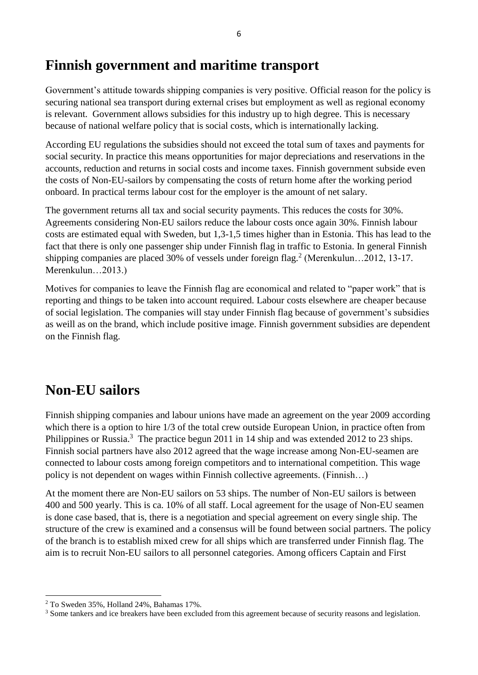#### <span id="page-5-0"></span>**Finnish government and maritime transport**

Government's attitude towards shipping companies is very positive. Official reason for the policy is securing national sea transport during external crises but employment as well as regional economy is relevant. Government allows subsidies for this industry up to high degree. This is necessary because of national welfare policy that is social costs, which is internationally lacking.

According EU regulations the subsidies should not exceed the total sum of taxes and payments for social security. In practice this means opportunities for major depreciations and reservations in the accounts, reduction and returns in social costs and income taxes. Finnish government subside even the costs of Non-EU-sailors by compensating the costs of return home after the working period onboard. In practical terms labour cost for the employer is the amount of net salary.

The government returns all tax and social security payments. This reduces the costs for 30%. Agreements considering Non-EU sailors reduce the labour costs once again 30%. Finnish labour costs are estimated equal with Sweden, but 1,3-1,5 times higher than in Estonia. This has lead to the fact that there is only one passenger ship under Finnish flag in traffic to Estonia. In general Finnish shipping companies are placed 30% of vessels under foreign flag.<sup>2</sup> (Merenkulun...2012, 13-17. Merenkulun…2013.)

Motives for companies to leave the Finnish flag are economical and related to "paper work" that is reporting and things to be taken into account required. Labour costs elsewhere are cheaper because of social legislation. The companies will stay under Finnish flag because of government's subsidies as weill as on the brand, which include positive image. Finnish government subsidies are dependent on the Finnish flag.

# <span id="page-5-1"></span>**Non-EU sailors**

Finnish shipping companies and labour unions have made an agreement on the year 2009 according which there is a option to hire 1/3 of the total crew outside European Union, in practice often from Philippines or Russia.<sup>3</sup> The practice begun 2011 in 14 ship and was extended 2012 to 23 ships. Finnish social partners have also 2012 agreed that the wage increase among Non-EU-seamen are connected to labour costs among foreign competitors and to international competition. This wage policy is not dependent on wages within Finnish collective agreements. (Finnish…)

At the moment there are Non-EU sailors on 53 ships. The number of Non-EU sailors is between 400 and 500 yearly. This is ca. 10% of all staff. Local agreement for the usage of Non-EU seamen is done case based, that is, there is a negotiation and special agreement on every single ship. The structure of the crew is examined and a consensus will be found between social partners. The policy of the branch is to establish mixed crew for all ships which are transferred under Finnish flag. The aim is to recruit Non-EU sailors to all personnel categories. Among officers Captain and First

<sup>2</sup> To Sweden 35%, Holland 24%, Bahamas 17%.

<sup>&</sup>lt;sup>3</sup> Some tankers and ice breakers have been excluded from this agreement because of security reasons and legislation.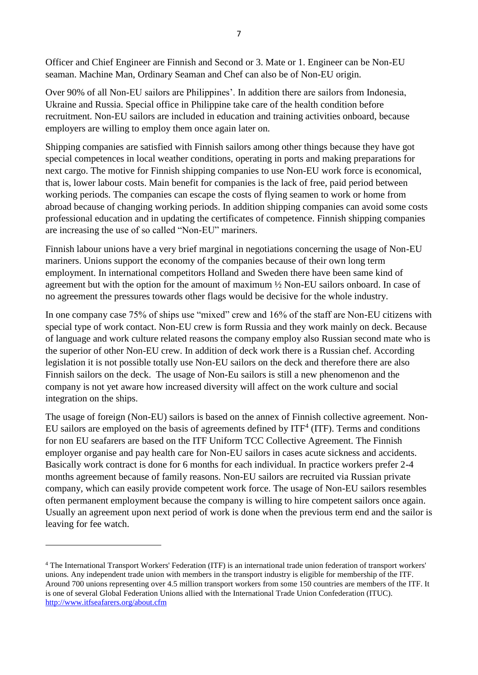Officer and Chief Engineer are Finnish and Second or 3. Mate or 1. Engineer can be Non-EU seaman. Machine Man, Ordinary Seaman and Chef can also be of Non-EU origin.

Over 90% of all Non-EU sailors are Philippines'. In addition there are sailors from Indonesia, Ukraine and Russia. Special office in Philippine take care of the health condition before recruitment. Non-EU sailors are included in education and training activities onboard, because employers are willing to employ them once again later on.

Shipping companies are satisfied with Finnish sailors among other things because they have got special competences in local weather conditions, operating in ports and making preparations for next cargo. The motive for Finnish shipping companies to use Non-EU work force is economical, that is, lower labour costs. Main benefit for companies is the lack of free, paid period between working periods. The companies can escape the costs of flying seamen to work or home from abroad because of changing working periods. In addition shipping companies can avoid some costs professional education and in updating the certificates of competence. Finnish shipping companies are increasing the use of so called "Non-EU" mariners.

Finnish labour unions have a very brief marginal in negotiations concerning the usage of Non-EU mariners. Unions support the economy of the companies because of their own long term employment. In international competitors Holland and Sweden there have been same kind of agreement but with the option for the amount of maximum ½ Non-EU sailors onboard. In case of no agreement the pressures towards other flags would be decisive for the whole industry.

In one company case 75% of ships use "mixed" crew and 16% of the staff are Non-EU citizens with special type of work contact. Non-EU crew is form Russia and they work mainly on deck. Because of language and work culture related reasons the company employ also Russian second mate who is the superior of other Non-EU crew. In addition of deck work there is a Russian chef. According legislation it is not possible totally use Non-EU sailors on the deck and therefore there are also Finnish sailors on the deck. The usage of Non-Eu sailors is still a new phenomenon and the company is not yet aware how increased diversity will affect on the work culture and social integration on the ships.

The usage of foreign (Non-EU) sailors is based on the annex of Finnish collective agreement. Non-EU sailors are employed on the basis of agreements defined by  $ITF<sup>4</sup> (ITF)$ . Terms and conditions for non EU seafarers are based on the ITF Uniform TCC Collective Agreement. The Finnish employer organise and pay health care for Non-EU sailors in cases acute sickness and accidents. Basically work contract is done for 6 months for each individual. In practice workers prefer 2-4 months agreement because of family reasons. Non-EU sailors are recruited via Russian private company, which can easily provide competent work force. The usage of Non-EU sailors resembles often permanent employment because the company is willing to hire competent sailors once again. Usually an agreement upon next period of work is done when the previous term end and the sailor is leaving for fee watch.

<sup>&</sup>lt;sup>4</sup> The International Transport Workers' Federation (ITF) is an international trade union federation of transport workers' unions. Any independent trade union with members in the transport industry is eligible for membership of the ITF. Around 700 unions representing over 4.5 million transport workers from some 150 countries are members of the ITF. It is one of several Global Federation Unions allied with the International Trade Union Confederation (ITUC). <http://www.itfseafarers.org/about.cfm>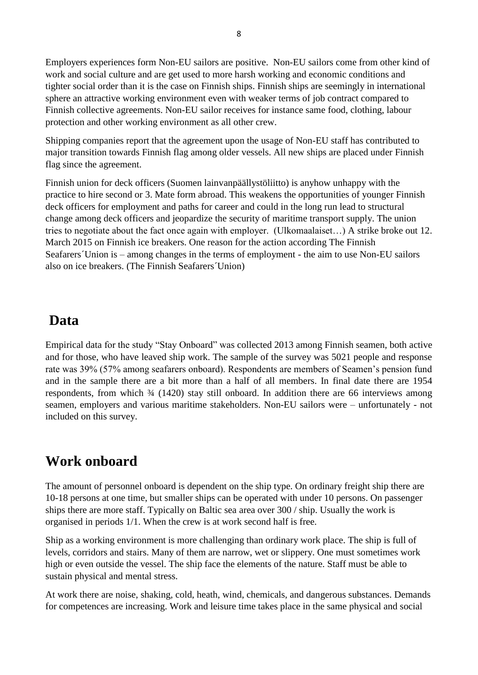Employers experiences form Non-EU sailors are positive. Non-EU sailors come from other kind of work and social culture and are get used to more harsh working and economic conditions and tighter social order than it is the case on Finnish ships. Finnish ships are seemingly in international sphere an attractive working environment even with weaker terms of job contract compared to Finnish collective agreements. Non-EU sailor receives for instance same food, clothing, labour protection and other working environment as all other crew.

Shipping companies report that the agreement upon the usage of Non-EU staff has contributed to major transition towards Finnish flag among older vessels. All new ships are placed under Finnish flag since the agreement.

Finnish union for deck officers (Suomen lainvanpäällystöliitto) is anyhow unhappy with the practice to hire second or 3. Mate form abroad. This weakens the opportunities of younger Finnish deck officers for employment and paths for career and could in the long run lead to structural change among deck officers and jeopardize the security of maritime transport supply. The union tries to negotiate about the fact once again with employer. (Ulkomaalaiset…) A strike broke out 12. March 2015 on Finnish ice breakers. One reason for the action according The Finnish Seafarers´Union is – among changes in the terms of employment - the aim to use Non-EU sailors also on ice breakers. (The Finnish Seafarers´Union)

#### <span id="page-7-0"></span>**Data**

Empirical data for the study "Stay Onboard" was collected 2013 among Finnish seamen, both active and for those, who have leaved ship work. The sample of the survey was 5021 people and response rate was 39% (57% among seafarers onboard). Respondents are members of Seamen's pension fund and in the sample there are a bit more than a half of all members. In final date there are 1954 respondents, from which  $\frac{3}{4}$  (1420) stay still onboard. In addition there are 66 interviews among seamen, employers and various maritime stakeholders. Non-EU sailors were – unfortunately - not included on this survey.

## <span id="page-7-1"></span>**Work onboard**

The amount of personnel onboard is dependent on the ship type. On ordinary freight ship there are 10-18 persons at one time, but smaller ships can be operated with under 10 persons. On passenger ships there are more staff. Typically on Baltic sea area over 300 / ship. Usually the work is organised in periods 1/1. When the crew is at work second half is free.

Ship as a working environment is more challenging than ordinary work place. The ship is full of levels, corridors and stairs. Many of them are narrow, wet or slippery. One must sometimes work high or even outside the vessel. The ship face the elements of the nature. Staff must be able to sustain physical and mental stress.

At work there are noise, shaking, cold, heath, wind, chemicals, and dangerous substances. Demands for competences are increasing. Work and leisure time takes place in the same physical and social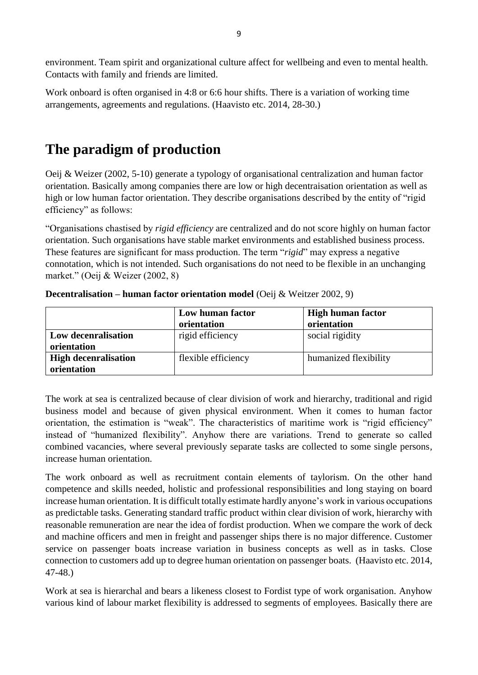environment. Team spirit and organizational culture affect for wellbeing and even to mental health. Contacts with family and friends are limited.

Work onboard is often organised in 4:8 or 6:6 hour shifts. There is a variation of working time arrangements, agreements and regulations. (Haavisto etc. 2014, 28-30.)

# <span id="page-8-0"></span>**The paradigm of production**

Oeij & Weizer (2002, 5-10) generate a typology of organisational centralization and human factor orientation. Basically among companies there are low or high decentraisation orientation as well as high or low human factor orientation. They describe organisations described by the entity of "rigid efficiency" as follows:

"Organisations chastised by *rigid efficiency* are centralized and do not score highly on human factor orientation. Such organisations have stable market environments and established business process. These features are significant for mass production. The term "*rigid*" may express a negative connotation, which is not intended. Such organisations do not need to be flexible in an unchanging market." (Oeij & Weizer (2002, 8)

|                                            | Low human factor<br>orientation | <b>High human factor</b><br>orientation |
|--------------------------------------------|---------------------------------|-----------------------------------------|
| Low decenralisation<br>orientation         | rigid efficiency                | social rigidity                         |
| <b>High decenralisation</b><br>orientation | flexible efficiency             | humanized flexibility                   |

**Decentralisation – human factor orientation model** (Oeij & Weitzer 2002, 9)

The work at sea is centralized because of clear division of work and hierarchy, traditional and rigid business model and because of given physical environment. When it comes to human factor orientation, the estimation is "weak". The characteristics of maritime work is "rigid efficiency" instead of "humanized flexibility". Anyhow there are variations. Trend to generate so called combined vacancies, where several previously separate tasks are collected to some single persons, increase human orientation.

The work onboard as well as recruitment contain elements of taylorism. On the other hand competence and skills needed, holistic and professional responsibilities and long staying on board increase human orientation. It is difficult totally estimate hardly anyone's work in various occupations as predictable tasks. Generating standard traffic product within clear division of work, hierarchy with reasonable remuneration are near the idea of fordist production. When we compare the work of deck and machine officers and men in freight and passenger ships there is no major difference. Customer service on passenger boats increase variation in business concepts as well as in tasks. Close connection to customers add up to degree human orientation on passenger boats. (Haavisto etc. 2014, 47-48.)

Work at sea is hierarchal and bears a likeness closest to Fordist type of work organisation. Anyhow various kind of labour market flexibility is addressed to segments of employees. Basically there are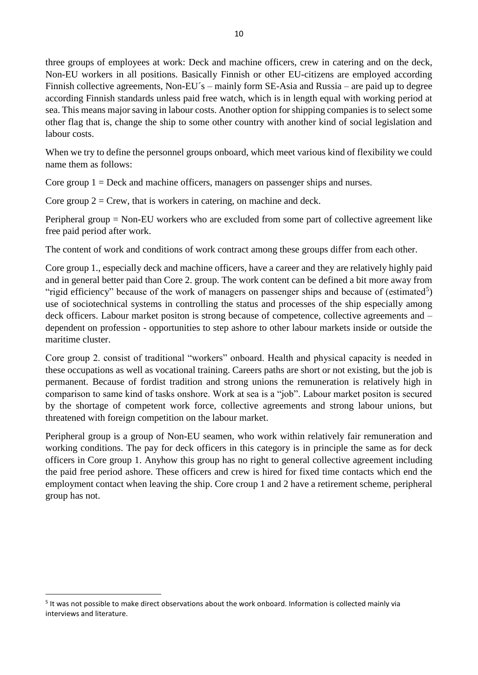three groups of employees at work: Deck and machine officers, crew in catering and on the deck, Non-EU workers in all positions. Basically Finnish or other EU-citizens are employed according Finnish collective agreements, Non-EU´s – mainly form SE-Asia and Russia – are paid up to degree according Finnish standards unless paid free watch, which is in length equal with working period at sea. This means major saving in labour costs. Another option for shipping companies is to select some other flag that is, change the ship to some other country with another kind of social legislation and labour costs.

When we try to define the personnel groups onboard, which meet various kind of flexibility we could name them as follows:

Core group 1 = Deck and machine officers, managers on passenger ships and nurses.

Core group  $2 = C$ rew, that is workers in catering, on machine and deck.

Peripheral group = Non-EU workers who are excluded from some part of collective agreement like free paid period after work.

The content of work and conditions of work contract among these groups differ from each other.

Core group 1., especially deck and machine officers, have a career and they are relatively highly paid and in general better paid than Core 2. group. The work content can be defined a bit more away from "rigid efficiency" because of the work of managers on passenger ships and because of (estimated<sup>5</sup>) use of sociotechnical systems in controlling the status and processes of the ship especially among deck officers. Labour market positon is strong because of competence, collective agreements and – dependent on profession - opportunities to step ashore to other labour markets inside or outside the maritime cluster.

Core group 2. consist of traditional "workers" onboard. Health and physical capacity is needed in these occupations as well as vocational training. Careers paths are short or not existing, but the job is permanent. Because of fordist tradition and strong unions the remuneration is relatively high in comparison to same kind of tasks onshore. Work at sea is a "job". Labour market positon is secured by the shortage of competent work force, collective agreements and strong labour unions, but threatened with foreign competition on the labour market.

Peripheral group is a group of Non-EU seamen, who work within relatively fair remuneration and working conditions. The pay for deck officers in this category is in principle the same as for deck officers in Core group 1. Anyhow this group has no right to general collective agreement including the paid free period ashore. These officers and crew is hired for fixed time contacts which end the employment contact when leaving the ship. Core croup 1 and 2 have a retirement scheme, peripheral group has not.

<sup>&</sup>lt;sup>5</sup> It was not possible to make direct observations about the work onboard. Information is collected mainly via interviews and literature.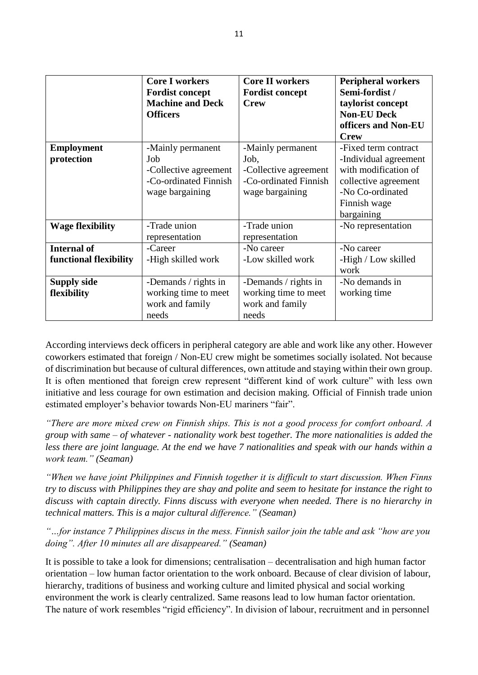|                         | <b>Core I workers</b><br><b>Fordist concept</b><br><b>Machine and Deck</b> | <b>Core II workers</b><br><b>Fordist concept</b><br><b>Crew</b> | <b>Peripheral workers</b><br>Semi-fordist /<br>taylorist concept |
|-------------------------|----------------------------------------------------------------------------|-----------------------------------------------------------------|------------------------------------------------------------------|
|                         | <b>Officers</b>                                                            |                                                                 | <b>Non-EU Deck</b><br>officers and Non-EU<br><b>Crew</b>         |
| <b>Employment</b>       | -Mainly permanent                                                          | -Mainly permanent                                               | -Fixed term contract                                             |
| protection              | Job                                                                        | Job,                                                            | -Individual agreement                                            |
|                         | -Collective agreement                                                      | -Collective agreement                                           | with modification of                                             |
|                         | -Co-ordinated Finnish                                                      | -Co-ordinated Finnish                                           | collective agreement                                             |
|                         | wage bargaining                                                            | wage bargaining                                                 | -No Co-ordinated                                                 |
|                         |                                                                            |                                                                 | Finnish wage                                                     |
|                         |                                                                            |                                                                 | bargaining                                                       |
| <b>Wage flexibility</b> | -Trade union                                                               | -Trade union                                                    | -No representation                                               |
|                         | representation                                                             | representation                                                  |                                                                  |
| <b>Internal of</b>      | -Career                                                                    | -No career                                                      | -No career                                                       |
| functional flexibility  | -High skilled work                                                         | -Low skilled work                                               | -High / Low skilled                                              |
|                         |                                                                            |                                                                 | work                                                             |
| <b>Supply side</b>      | -Demands / rights in                                                       | -Demands / rights in                                            | -No demands in                                                   |
| flexibility             | working time to meet                                                       | working time to meet                                            | working time                                                     |
|                         | work and family                                                            | work and family                                                 |                                                                  |
|                         | needs                                                                      | needs                                                           |                                                                  |

According interviews deck officers in peripheral category are able and work like any other. However coworkers estimated that foreign / Non-EU crew might be sometimes socially isolated. Not because of discrimination but because of cultural differences, own attitude and staying within their own group. It is often mentioned that foreign crew represent "different kind of work culture" with less own initiative and less courage for own estimation and decision making. Official of Finnish trade union estimated employer's behavior towards Non-EU mariners "fair".

*"There are more mixed crew on Finnish ships. This is not a good process for comfort onboard. A group with same – of whatever - nationality work best together. The more nationalities is added the less there are joint language. At the end we have 7 nationalities and speak with our hands within a work team." (Seaman)*

*"When we have joint Philippines and Finnish together it is difficult to start discussion. When Finns try to discuss with Philippines they are shay and polite and seem to hesitate for instance the right to discuss with captain directly. Finns discuss with everyone when needed. There is no hierarchy in technical matters. This is a major cultural difference." (Seaman)*

*"…for instance 7 Philippines discus in the mess. Finnish sailor join the table and ask "how are you doing". After 10 minutes all are disappeared." (Seaman)*

It is possible to take a look for dimensions; centralisation – decentralisation and high human factor orientation – low human factor orientation to the work onboard. Because of clear division of labour, hierarchy, traditions of business and working culture and limited physical and social working environment the work is clearly centralized. Same reasons lead to low human factor orientation. The nature of work resembles "rigid efficiency". In division of labour, recruitment and in personnel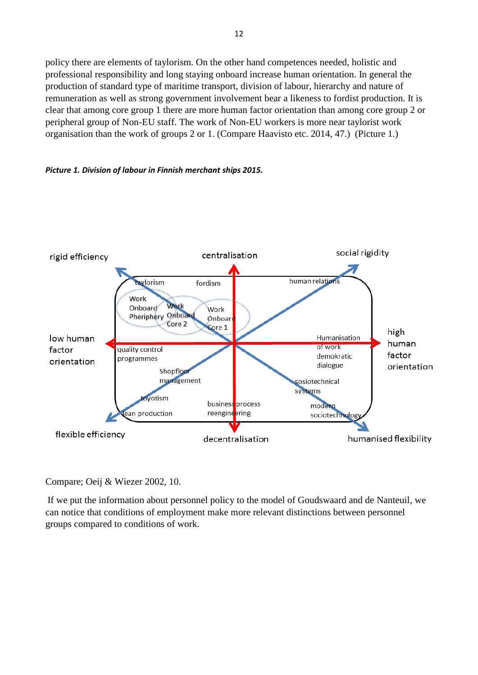policy there are elements of taylorism. On the other hand competences needed, holistic and professional responsibility and long staying onboard increase human orientation. In general the production of standard type of maritime transport, division of labour, hierarchy and nature of remuneration as well as strong government involvement bear a likeness to fordist production. It is clear that among core group 1 there are more human factor orientation than among core group 2 or peripheral group of Non-EU staff. The work of Non-EU workers is more near taylorist work organisation than the work of groups 2 or 1. (Compare Haavisto etc. 2014, 47.) (Picture 1.)





Compare; Oeij & Wiezer 2002, 10.

If we put the information about personnel policy to the model of Goudswaard and de Nanteuil, we can notice that conditions of employment make more relevant distinctions between personnel groups compared to conditions of work.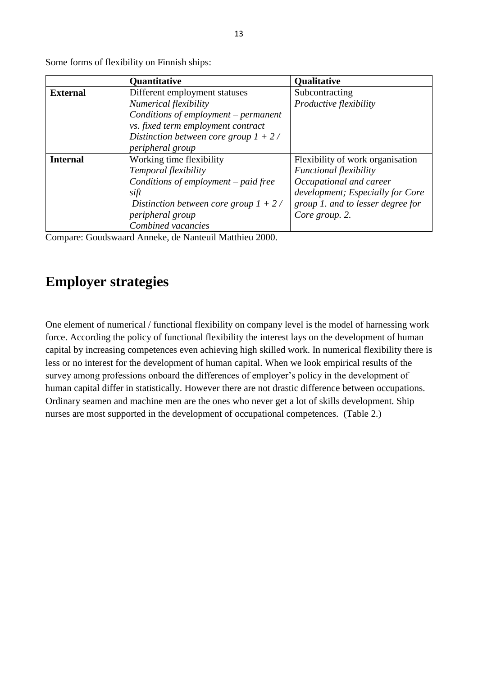|                 | <b>Quantitative</b>                      | Qualitative                       |
|-----------------|------------------------------------------|-----------------------------------|
| <b>External</b> | Different employment statuses            | Subcontracting                    |
|                 | Numerical flexibility                    | Productive flexibility            |
|                 | Conditions of employment - permanent     |                                   |
|                 | vs. fixed term employment contract       |                                   |
|                 | Distinction between core group $1 + 2$ / |                                   |
|                 | peripheral group                         |                                   |
| <b>Internal</b> | Working time flexibility                 | Flexibility of work organisation  |
|                 | Temporal flexibility                     | <b>Functional flexibility</b>     |
|                 | Conditions of employment – paid free     | Occupational and career           |
|                 | sift                                     | development; Especially for Core  |
|                 | Distinction between core group $1 + 2$ / | group 1. and to lesser degree for |
|                 | peripheral group                         | Core group. 2.                    |
|                 | Combined vacancies                       |                                   |

Some forms of flexibility on Finnish ships:

Compare: Goudswaard Anneke, de Nanteuil Matthieu 2000.

## <span id="page-12-0"></span>**Employer strategies**

One element of numerical / functional flexibility on company level is the model of harnessing work force. According the policy of functional flexibility the interest lays on the development of human capital by increasing competences even achieving high skilled work. In numerical flexibility there is less or no interest for the development of human capital. When we look empirical results of the survey among professions onboard the differences of employer's policy in the development of human capital differ in statistically. However there are not drastic difference between occupations. Ordinary seamen and machine men are the ones who never get a lot of skills development. Ship nurses are most supported in the development of occupational competences. (Table 2.)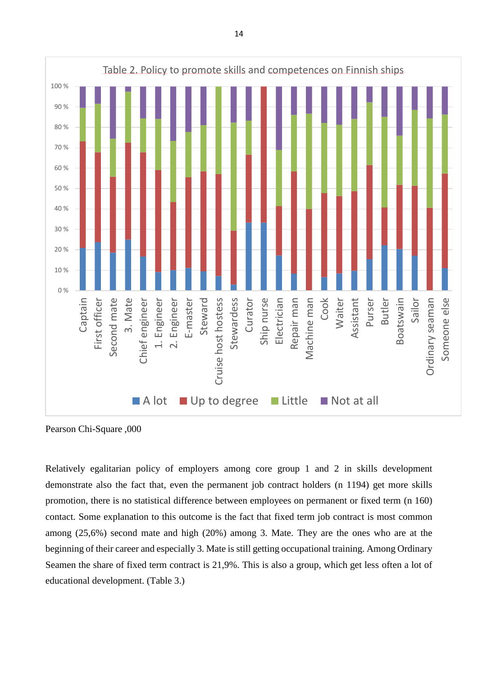

Pearson Chi-Square ,000

Relatively egalitarian policy of employers among core group 1 and 2 in skills development demonstrate also the fact that, even the permanent job contract holders (n 1194) get more skills promotion, there is no statistical difference between employees on permanent or fixed term (n 160) contact. Some explanation to this outcome is the fact that fixed term job contract is most common among (25,6%) second mate and high (20%) among 3. Mate. They are the ones who are at the beginning of their career and especially 3. Mate is still getting occupational training. Among Ordinary Seamen the share of fixed term contract is 21,9%. This is also a group, which get less often a lot of educational development. (Table 3.)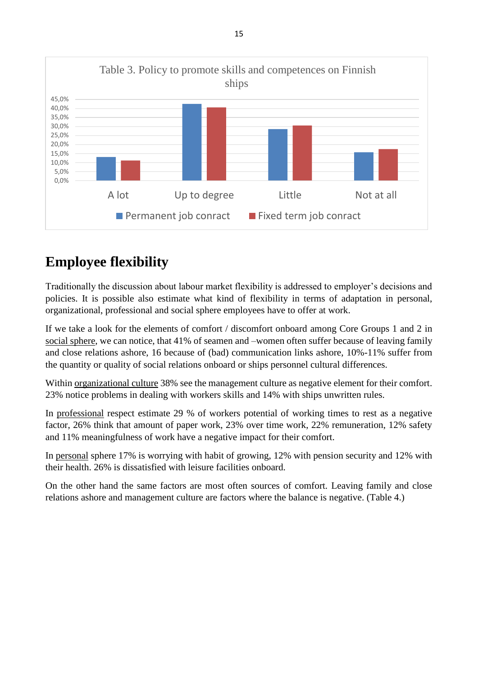

# <span id="page-14-0"></span>**Employee flexibility**

Traditionally the discussion about labour market flexibility is addressed to employer's decisions and policies. It is possible also estimate what kind of flexibility in terms of adaptation in personal, organizational, professional and social sphere employees have to offer at work.

If we take a look for the elements of comfort / discomfort onboard among Core Groups 1 and 2 in social sphere, we can notice, that 41% of seamen and –women often suffer because of leaving family and close relations ashore, 16 because of (bad) communication links ashore, 10%-11% suffer from the quantity or quality of social relations onboard or ships personnel cultural differences.

Within organizational culture 38% see the management culture as negative element for their comfort. 23% notice problems in dealing with workers skills and 14% with ships unwritten rules.

In professional respect estimate 29 % of workers potential of working times to rest as a negative factor, 26% think that amount of paper work, 23% over time work, 22% remuneration, 12% safety and 11% meaningfulness of work have a negative impact for their comfort.

In personal sphere 17% is worrying with habit of growing, 12% with pension security and 12% with their health. 26% is dissatisfied with leisure facilities onboard.

On the other hand the same factors are most often sources of comfort. Leaving family and close relations ashore and management culture are factors where the balance is negative. (Table 4.)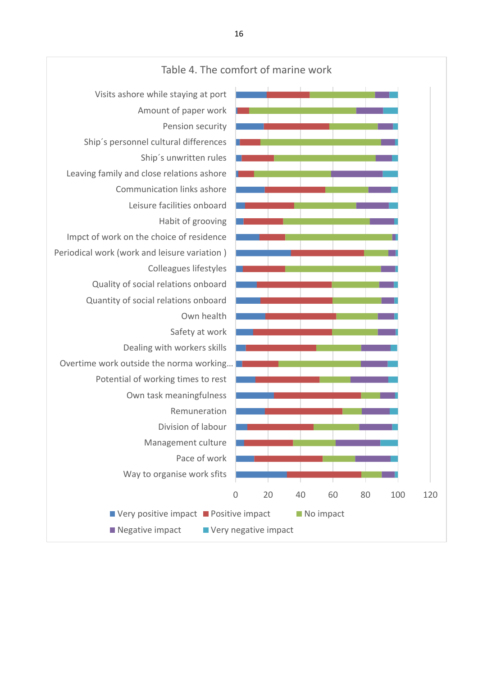

#### Table 4. The comfort of marine work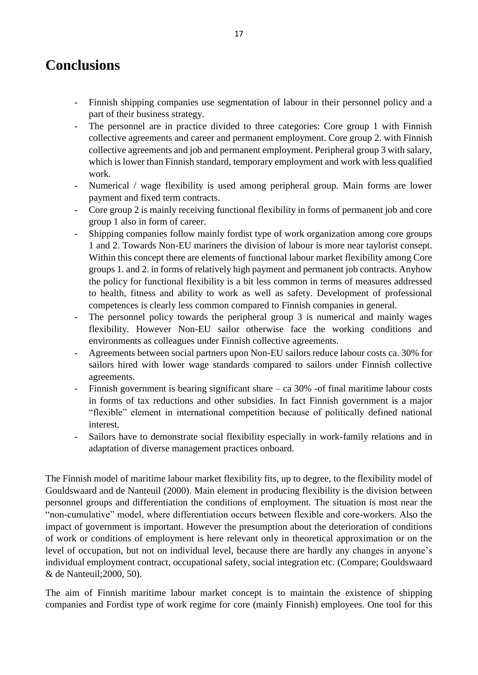## <span id="page-16-0"></span>**Conclusions**

- Finnish shipping companies use segmentation of labour in their personnel policy and a part of their business strategy.
- The personnel are in practice divided to three categories: Core group 1 with Finnish collective agreements and career and permanent employment. Core group 2. with Finnish collective agreements and job and permanent employment. Peripheral group 3 with salary, which is lower than Finnish standard, temporary employment and work with less qualified work.
- Numerical / wage flexibility is used among peripheral group. Main forms are lower payment and fixed term contracts.
- Core group 2 is mainly receiving functional flexibility in forms of permanent job and core group 1 also in form of career.
- Shipping companies follow mainly fordist type of work organization among core groups 1 and 2. Towards Non-EU mariners the division of labour is more near taylorist consept. Within this concept there are elements of functional labour market flexibility among Core groups 1. and 2. in forms of relatively high payment and permanent job contracts. Anyhow the policy for functional flexibility is a bit less common in terms of measures addressed to health, fitness and ability to work as well as safety. Development of professional competences is clearly less common compared to Finnish companies in general.
- The personnel policy towards the peripheral group 3 is numerical and mainly wages flexibility. However Non-EU sailor otherwise face the working conditions and environments as colleagues under Finnish collective agreements.
- Agreements between social partners upon Non-EU sailors reduce labour costs ca. 30% for sailors hired with lower wage standards compared to sailors under Finnish collective agreements.
- Finnish government is bearing significant share ca 30% -of final maritime labour costs in forms of tax reductions and other subsidies. In fact Finnish government is a major "flexible" element in international competition because of politically defined national interest.
- Sailors have to demonstrate social flexibility especially in work-family relations and in adaptation of diverse management practices onboard.

The Finnish model of maritime labour market flexibility fits, up to degree, to the flexibility model of Gouldswaard and de Nanteuil (2000). Main element in producing flexibility is the division between personnel groups and differentiation the conditions of employment. The situation is most near the "non-cumulative" model, where differentiation occurs between flexible and core-workers. Also the impact of government is important. However the presumption about the deterioration of conditions of work or conditions of employment is here relevant only in theoretical approximation or on the level of occupation, but not on individual level, because there are hardly any changes in anyone's individual employment contract, occupational safety, social integration etc. (Compare; Gouldswaard & de Nanteuil;2000, 50).

The aim of Finnish maritime labour market concept is to maintain the existence of shipping companies and Fordist type of work regime for core (mainly Finnish) employees. One tool for this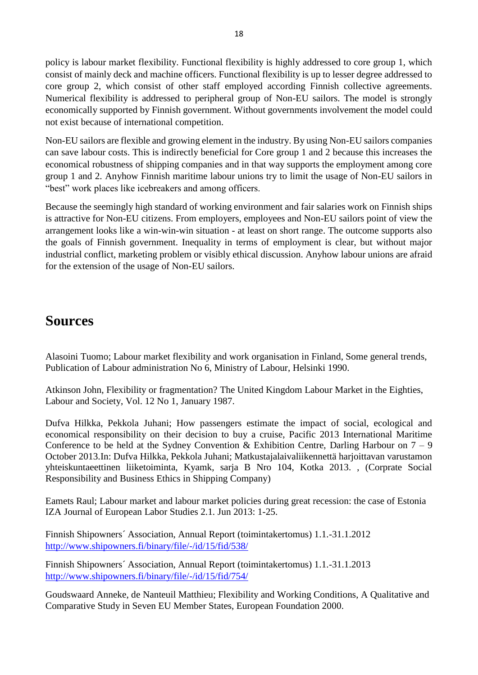policy is labour market flexibility. Functional flexibility is highly addressed to core group 1, which consist of mainly deck and machine officers. Functional flexibility is up to lesser degree addressed to core group 2, which consist of other staff employed according Finnish collective agreements. Numerical flexibility is addressed to peripheral group of Non-EU sailors. The model is strongly economically supported by Finnish government. Without governments involvement the model could not exist because of international competition.

Non-EU sailors are flexible and growing element in the industry. By using Non-EU sailors companies can save labour costs. This is indirectly beneficial for Core group 1 and 2 because this increases the economical robustness of shipping companies and in that way supports the employment among core group 1 and 2. Anyhow Finnish maritime labour unions try to limit the usage of Non-EU sailors in "best" work places like icebreakers and among officers.

Because the seemingly high standard of working environment and fair salaries work on Finnish ships is attractive for Non-EU citizens. From employers, employees and Non-EU sailors point of view the arrangement looks like a win-win-win situation - at least on short range. The outcome supports also the goals of Finnish government. Inequality in terms of employment is clear, but without major industrial conflict, marketing problem or visibly ethical discussion. Anyhow labour unions are afraid for the extension of the usage of Non-EU sailors.

## <span id="page-17-0"></span>**Sources**

Alasoini Tuomo; Labour market flexibility and work organisation in Finland, Some general trends, Publication of Labour administration No 6, Ministry of Labour, Helsinki 1990.

Atkinson John, Flexibility or fragmentation? The United Kingdom Labour Market in the Eighties, Labour and Society, Vol. 12 No 1, January 1987.

Dufva Hilkka, Pekkola Juhani; How passengers estimate the impact of social, ecological and economical responsibility on their decision to buy a cruise, Pacific 2013 International Maritime Conference to be held at the Sydney Convention & Exhibition Centre, Darling Harbour on  $7 - 9$ October 2013.In: Dufva Hilkka, Pekkola Juhani; Matkustajalaivaliikennettä harjoittavan varustamon yhteiskuntaeettinen liiketoiminta, Kyamk, sarja B Nro 104, Kotka 2013. , (Corprate Social Responsibility and Business Ethics in Shipping Company)

Eamets Raul; Labour market and labour market policies during great recession: the case of Estonia IZA Journal of European Labor Studies 2.1. Jun 2013: 1-25.

Finnish Shipowners´ Association, Annual Report (toimintakertomus) 1.1.-31.1.2012 <http://www.shipowners.fi/binary/file/-/id/15/fid/538/>

Finnish Shipowners´ Association, Annual Report (toimintakertomus) 1.1.-31.1.2013 <http://www.shipowners.fi/binary/file/-/id/15/fid/754/>

Goudswaard Anneke, de Nanteuil Matthieu; Flexibility and Working Conditions, A Qualitative and Comparative Study in Seven EU Member States, European Foundation 2000.